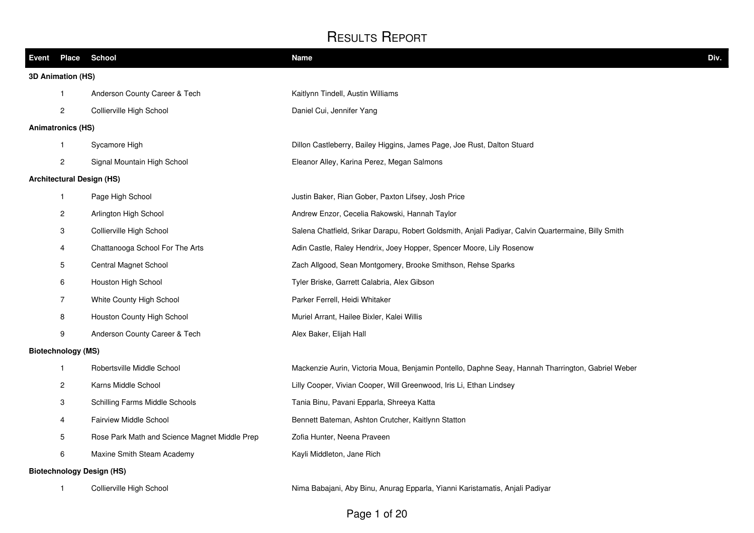| Event | <b>Place</b>              | <b>School</b>                                 | <b>Name</b>                                                                                         | Div. |
|-------|---------------------------|-----------------------------------------------|-----------------------------------------------------------------------------------------------------|------|
|       | 3D Animation (HS)         |                                               |                                                                                                     |      |
|       | $\mathbf{1}$              | Anderson County Career & Tech                 | Kaitlynn Tindell, Austin Williams                                                                   |      |
|       | $\overline{c}$            | Collierville High School                      | Daniel Cui, Jennifer Yang                                                                           |      |
|       | <b>Animatronics (HS)</b>  |                                               |                                                                                                     |      |
|       | $\mathbf{1}$              | Sycamore High                                 | Dillon Castleberry, Bailey Higgins, James Page, Joe Rust, Dalton Stuard                             |      |
|       | $\mathbf{2}$              | Signal Mountain High School                   | Eleanor Alley, Karina Perez, Megan Salmons                                                          |      |
|       |                           | <b>Architectural Design (HS)</b>              |                                                                                                     |      |
|       | $\mathbf{1}$              | Page High School                              | Justin Baker, Rian Gober, Paxton Lifsey, Josh Price                                                 |      |
|       | $\overline{2}$            | Arlington High School                         | Andrew Enzor, Cecelia Rakowski, Hannah Taylor                                                       |      |
|       | 3                         | Collierville High School                      | Salena Chatfield, Srikar Darapu, Robert Goldsmith, Anjali Padiyar, Calvin Quartermaine, Billy Smith |      |
|       | 4                         | Chattanooga School For The Arts               | Adin Castle, Raley Hendrix, Joey Hopper, Spencer Moore, Lily Rosenow                                |      |
|       | 5                         | Central Magnet School                         | Zach Allgood, Sean Montgomery, Brooke Smithson, Rehse Sparks                                        |      |
|       | 6                         | Houston High School                           | Tyler Briske, Garrett Calabria, Alex Gibson                                                         |      |
|       | $\overline{7}$            | White County High School                      | Parker Ferrell, Heidi Whitaker                                                                      |      |
|       | 8                         | Houston County High School                    | Muriel Arrant, Hailee Bixler, Kalei Willis                                                          |      |
|       | $\boldsymbol{9}$          | Anderson County Career & Tech                 | Alex Baker, Elijah Hall                                                                             |      |
|       | <b>Biotechnology (MS)</b> |                                               |                                                                                                     |      |
|       | $\mathbf{1}$              | Robertsville Middle School                    | Mackenzie Aurin, Victoria Moua, Benjamin Pontello, Daphne Seay, Hannah Tharrington, Gabriel Weber   |      |
|       | $\overline{c}$            | Karns Middle School                           | Lilly Cooper, Vivian Cooper, Will Greenwood, Iris Li, Ethan Lindsey                                 |      |
|       | 3                         | Schilling Farms Middle Schools                | Tania Binu, Pavani Epparla, Shreeya Katta                                                           |      |
|       | 4                         | <b>Fairview Middle School</b>                 | Bennett Bateman, Ashton Crutcher, Kaitlynn Statton                                                  |      |
|       | 5                         | Rose Park Math and Science Magnet Middle Prep | Zofia Hunter, Neena Praveen                                                                         |      |
|       | 6                         | Maxine Smith Steam Academy                    | Kayli Middleton, Jane Rich                                                                          |      |
|       |                           | <b>Biotechnology Design (HS)</b>              |                                                                                                     |      |
|       | $\mathbf{1}$              | Collierville High School                      | Nima Babajani, Aby Binu, Anurag Epparla, Yianni Karistamatis, Anjali Padiyar                        |      |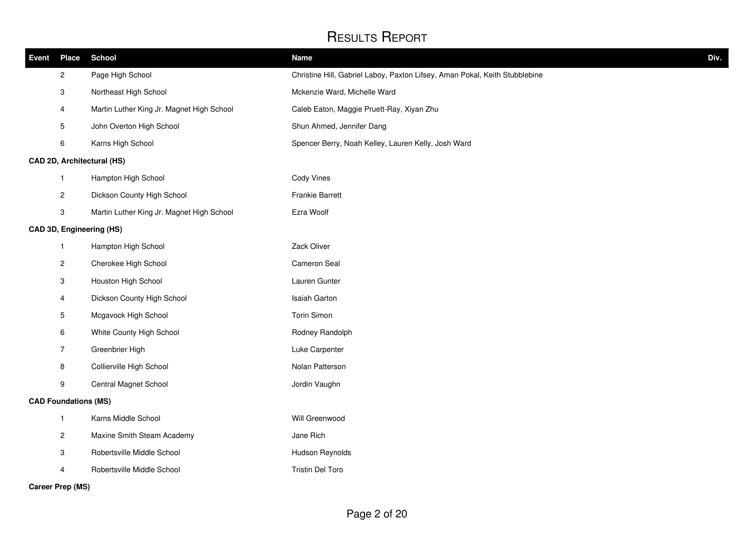| <b>Event</b> | <b>Place</b>                | <b>School</b>                             | <b>Name</b>                                                                 | Div. |
|--------------|-----------------------------|-------------------------------------------|-----------------------------------------------------------------------------|------|
|              | $\overline{c}$              | Page High School                          | Christine Hill, Gabriel Laboy, Paxton Lifsey, Aman Pokal, Keith Stubblebine |      |
|              | 3                           | Northeast High School                     | Mckenzie Ward, Michelle Ward                                                |      |
|              | 4                           | Martin Luther King Jr. Magnet High School | Caleb Eaton, Maggie Pruett-Ray, Xiyan Zhu                                   |      |
|              | 5                           | John Overton High School                  | Shun Ahmed, Jennifer Dang                                                   |      |
|              | 6                           | Karns High School                         | Spencer Berry, Noah Kelley, Lauren Kelly, Josh Ward                         |      |
|              |                             | CAD 2D, Architectural (HS)                |                                                                             |      |
|              | $\mathbf{1}$                | Hampton High School                       | Cody Vines                                                                  |      |
|              | $\overline{\mathbf{c}}$     | Dickson County High School                | <b>Frankie Barrett</b>                                                      |      |
|              | 3                           | Martin Luther King Jr. Magnet High School | Ezra Woolf                                                                  |      |
|              |                             | CAD 3D, Engineering (HS)                  |                                                                             |      |
|              | $\mathbf{1}$                | Hampton High School                       | Zack Oliver                                                                 |      |
|              | $\overline{\mathbf{c}}$     | Cherokee High School                      | Cameron Seal                                                                |      |
|              | 3                           | Houston High School                       | Lauren Gunter                                                               |      |
|              | 4                           | Dickson County High School                | Isaiah Garton                                                               |      |
|              | 5                           | Mcgavock High School                      | Torin Simon                                                                 |      |
|              | 6                           | White County High School                  | Rodney Randolph                                                             |      |
|              | $\overline{7}$              | Greenbrier High                           | Luke Carpenter                                                              |      |
|              | 8                           | Collierville High School                  | Nolan Patterson                                                             |      |
|              | 9                           | Central Magnet School                     | Jordin Vaughn                                                               |      |
|              | <b>CAD Foundations (MS)</b> |                                           |                                                                             |      |
|              | $\mathbf{1}$                | Karns Middle School                       | Will Greenwood                                                              |      |
|              | $\overline{c}$              | Maxine Smith Steam Academy                | Jane Rich                                                                   |      |
|              | 3                           | Robertsville Middle School                | Hudson Reynolds                                                             |      |
|              | 4                           | Robertsville Middle School                | <b>Tristin Del Toro</b>                                                     |      |
|              | <b>Career Prep (MS)</b>     |                                           |                                                                             |      |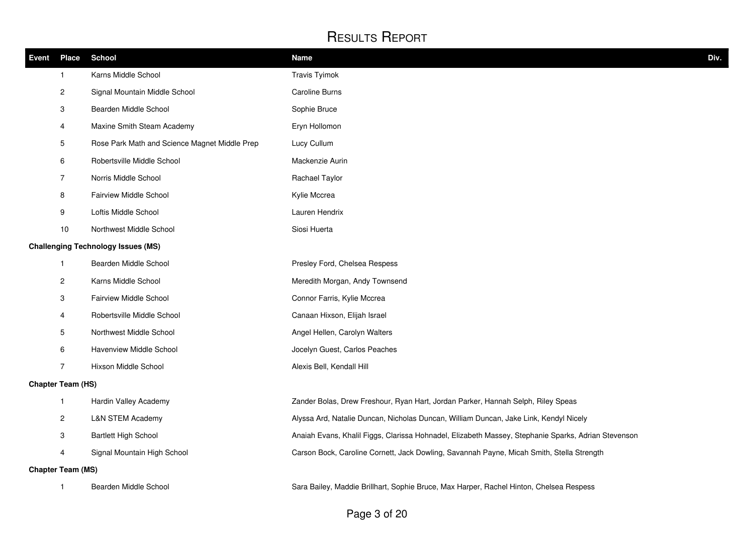| Event | <b>Place</b>             | <b>School</b>                                 | <b>Name</b>                                                                                         | Div. |
|-------|--------------------------|-----------------------------------------------|-----------------------------------------------------------------------------------------------------|------|
|       | 1                        | Karns Middle School                           | <b>Travis Tyimok</b>                                                                                |      |
|       | $\overline{\mathbf{c}}$  | Signal Mountain Middle School                 | <b>Caroline Burns</b>                                                                               |      |
|       | 3                        | Bearden Middle School                         | Sophie Bruce                                                                                        |      |
|       | 4                        | Maxine Smith Steam Academy                    | Eryn Hollomon                                                                                       |      |
|       | 5                        | Rose Park Math and Science Magnet Middle Prep | Lucy Cullum                                                                                         |      |
|       | 6                        | Robertsville Middle School                    | Mackenzie Aurin                                                                                     |      |
|       | $\overline{7}$           | Norris Middle School                          | Rachael Taylor                                                                                      |      |
|       | 8                        | <b>Fairview Middle School</b>                 | Kylie Mccrea                                                                                        |      |
|       | 9                        | Loftis Middle School                          | Lauren Hendrix                                                                                      |      |
|       | 10                       | Northwest Middle School                       | Siosi Huerta                                                                                        |      |
|       |                          | <b>Challenging Technology Issues (MS)</b>     |                                                                                                     |      |
|       | $\mathbf{1}$             | Bearden Middle School                         | Presley Ford, Chelsea Respess                                                                       |      |
|       | $\overline{\mathbf{c}}$  | Karns Middle School                           | Meredith Morgan, Andy Townsend                                                                      |      |
|       | 3                        | Fairview Middle School                        | Connor Farris, Kylie Mccrea                                                                         |      |
|       | 4                        | Robertsville Middle School                    | Canaan Hixson, Elijah Israel                                                                        |      |
|       | 5                        | Northwest Middle School                       | Angel Hellen, Carolyn Walters                                                                       |      |
|       | 6                        | Havenview Middle School                       | Jocelyn Guest, Carlos Peaches                                                                       |      |
|       | $\overline{7}$           | Hixson Middle School                          | Alexis Bell, Kendall Hill                                                                           |      |
|       | <b>Chapter Team (HS)</b> |                                               |                                                                                                     |      |
|       | $\mathbf{1}$             | Hardin Valley Academy                         | Zander Bolas, Drew Freshour, Ryan Hart, Jordan Parker, Hannah Selph, Riley Speas                    |      |
|       | $\overline{\mathbf{c}}$  | <b>L&amp;N STEM Academy</b>                   | Alyssa Ard, Natalie Duncan, Nicholas Duncan, William Duncan, Jake Link, Kendyl Nicely               |      |
|       | 3                        | <b>Bartlett High School</b>                   | Anaiah Evans, Khalil Figgs, Clarissa Hohnadel, Elizabeth Massey, Stephanie Sparks, Adrian Stevenson |      |
|       | 4                        | Signal Mountain High School                   | Carson Bock, Caroline Cornett, Jack Dowling, Savannah Payne, Micah Smith, Stella Strength           |      |
|       | <b>Chapter Team (MS)</b> |                                               |                                                                                                     |      |
|       | $\mathbf{1}$             | Bearden Middle School                         | Sara Bailey, Maddie Brillhart, Sophie Bruce, Max Harper, Rachel Hinton, Chelsea Respess             |      |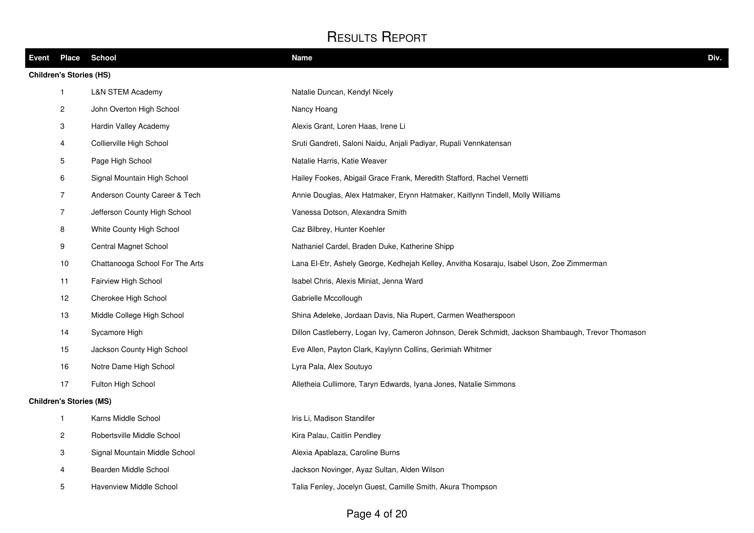| Event | Place                          | <b>School</b>                   | <b>Name</b>                                                                                       | Div. |
|-------|--------------------------------|---------------------------------|---------------------------------------------------------------------------------------------------|------|
|       | <b>Children's Stories (HS)</b> |                                 |                                                                                                   |      |
|       | $\mathbf{1}$                   | <b>L&amp;N STEM Academy</b>     | Natalie Duncan, Kendyl Nicely                                                                     |      |
|       | $\mathbf{2}$                   | John Overton High School        | Nancy Hoang                                                                                       |      |
|       | 3                              | Hardin Valley Academy           | Alexis Grant, Loren Haas, Irene Li                                                                |      |
|       | $\overline{4}$                 | Collierville High School        | Sruti Gandreti, Saloni Naidu, Anjali Padiyar, Rupali Vennkatensan                                 |      |
|       | 5                              | Page High School                | Natalie Harris, Katie Weaver                                                                      |      |
|       | 6                              | Signal Mountain High School     | Hailey Fookes, Abigail Grace Frank, Meredith Stafford, Rachel Vernetti                            |      |
|       | $\overline{7}$                 | Anderson County Career & Tech   | Annie Douglas, Alex Hatmaker, Erynn Hatmaker, Kaitlynn Tindell, Molly Williams                    |      |
|       | $\overline{7}$                 | Jefferson County High School    | Vanessa Dotson, Alexandra Smith                                                                   |      |
|       | 8                              | White County High School        | Caz Bilbrey, Hunter Koehler                                                                       |      |
|       | 9                              | Central Magnet School           | Nathaniel Cardel, Braden Duke, Katherine Shipp                                                    |      |
|       | 10                             | Chattanooga School For The Arts | Lana El-Etr, Ashely George, Kedhejah Kelley, Anvitha Kosaraju, Isabel Uson, Zoe Zimmerman         |      |
|       | 11                             | Fairview High School            | Isabel Chris, Alexis Miniat, Jenna Ward                                                           |      |
|       | 12                             | Cherokee High School            | Gabrielle Mccollough                                                                              |      |
|       | 13                             | Middle College High School      | Shina Adeleke, Jordaan Davis, Nia Rupert, Carmen Weatherspoon                                     |      |
|       | 14                             | Sycamore High                   | Dillon Castleberry, Logan Ivy, Cameron Johnson, Derek Schmidt, Jackson Shambaugh, Trevor Thomason |      |
|       | 15                             | Jackson County High School      | Eve Allen, Payton Clark, Kaylynn Collins, Gerimiah Whitmer                                        |      |
|       | 16                             | Notre Dame High School          | Lyra Pala, Alex Soutuyo                                                                           |      |
|       | 17                             | Fulton High School              | Alletheia Cullimore, Taryn Edwards, Iyana Jones, Natalie Simmons                                  |      |
|       | <b>Children's Stories (MS)</b> |                                 |                                                                                                   |      |
|       | $\mathbf{1}$                   | Karns Middle School             | Iris Li, Madison Standifer                                                                        |      |
|       | $\overline{c}$                 | Robertsville Middle School      | Kira Palau, Caitlin Pendley                                                                       |      |
|       | 3                              | Signal Mountain Middle School   | Alexia Apablaza, Caroline Burns                                                                   |      |
|       | $\overline{4}$                 | Bearden Middle School           | Jackson Novinger, Ayaz Sultan, Alden Wilson                                                       |      |
|       | 5                              | Havenview Middle School         | Talia Fenley, Jocelyn Guest, Camille Smith, Akura Thompson                                        |      |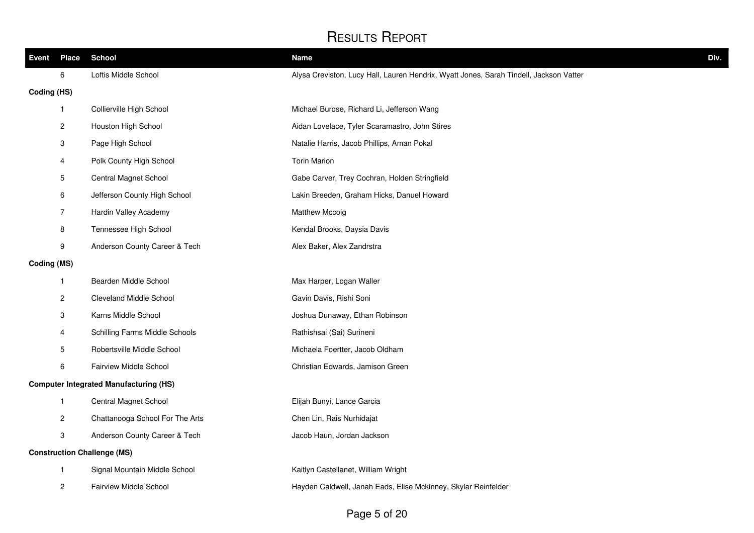| Event       | <b>Place</b>              | <b>School</b>                                 | <b>Name</b><br>Div.                                                                    |
|-------------|---------------------------|-----------------------------------------------|----------------------------------------------------------------------------------------|
|             | 6                         | Loftis Middle School                          | Alysa Creviston, Lucy Hall, Lauren Hendrix, Wyatt Jones, Sarah Tindell, Jackson Vatter |
| Coding (HS) |                           |                                               |                                                                                        |
|             | 1                         | Collierville High School                      | Michael Burose, Richard Li, Jefferson Wang                                             |
|             | $\mathbf{2}$              | Houston High School                           | Aidan Lovelace, Tyler Scaramastro, John Stires                                         |
|             | 3                         | Page High School                              | Natalie Harris, Jacob Phillips, Aman Pokal                                             |
|             | 4                         | Polk County High School                       | <b>Torin Marion</b>                                                                    |
|             | 5                         | Central Magnet School                         | Gabe Carver, Trey Cochran, Holden Stringfield                                          |
|             | 6                         | Jefferson County High School                  | Lakin Breeden, Graham Hicks, Danuel Howard                                             |
|             | $\overline{7}$            | Hardin Valley Academy                         | <b>Matthew Mccoig</b>                                                                  |
|             | 8                         | Tennessee High School                         | Kendal Brooks, Daysia Davis                                                            |
|             | 9                         | Anderson County Career & Tech                 | Alex Baker, Alex Zandrstra                                                             |
| Coding (MS) |                           |                                               |                                                                                        |
|             | $\mathbf{1}$              | Bearden Middle School                         | Max Harper, Logan Waller                                                               |
|             | 2                         | <b>Cleveland Middle School</b>                | Gavin Davis, Rishi Soni                                                                |
|             | 3                         | Karns Middle School                           | Joshua Dunaway, Ethan Robinson                                                         |
|             | 4                         | Schilling Farms Middle Schools                | Rathishsai (Sai) Surineni                                                              |
|             | 5                         | Robertsville Middle School                    | Michaela Foertter, Jacob Oldham                                                        |
|             | 6                         | Fairview Middle School                        | Christian Edwards, Jamison Green                                                       |
|             |                           | <b>Computer Integrated Manufacturing (HS)</b> |                                                                                        |
|             | $\mathbf{1}$              | Central Magnet School                         | Elijah Bunyi, Lance Garcia                                                             |
|             | $\overline{c}$            | Chattanooga School For The Arts               | Chen Lin, Rais Nurhidajat                                                              |
|             | $\ensuremath{\mathsf{3}}$ | Anderson County Career & Tech                 | Jacob Haun, Jordan Jackson                                                             |
|             |                           | <b>Construction Challenge (MS)</b>            |                                                                                        |
|             | $\mathbf{1}$              | Signal Mountain Middle School                 | Kaitlyn Castellanet, William Wright                                                    |
|             | 2                         | <b>Fairview Middle School</b>                 | Hayden Caldwell, Janah Eads, Elise Mckinney, Skylar Reinfelder                         |
|             |                           |                                               |                                                                                        |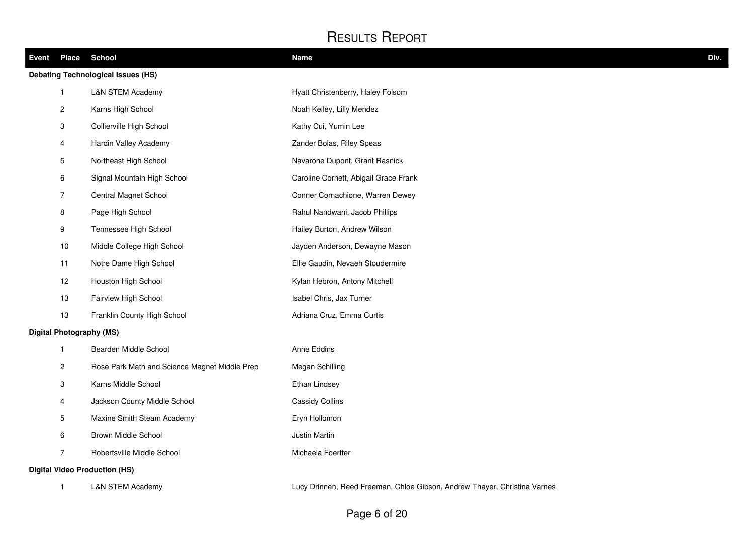| <b>Event Place</b> |                           | <b>School</b>                                 | <b>Name</b>                           | Div. |
|--------------------|---------------------------|-----------------------------------------------|---------------------------------------|------|
|                    |                           | <b>Debating Technological Issues (HS)</b>     |                                       |      |
|                    | $\mathbf{1}$              | <b>L&amp;N STEM Academy</b>                   | Hyatt Christenberry, Haley Folsom     |      |
|                    | $\overline{2}$            | Karns High School                             | Noah Kelley, Lilly Mendez             |      |
|                    | 3                         | Collierville High School                      | Kathy Cui, Yumin Lee                  |      |
|                    | 4                         | Hardin Valley Academy                         | Zander Bolas, Riley Speas             |      |
|                    | 5                         | Northeast High School                         | Navarone Dupont, Grant Rasnick        |      |
|                    | 6                         | Signal Mountain High School                   | Caroline Cornett, Abigail Grace Frank |      |
|                    | $\overline{7}$            | Central Magnet School                         | Conner Cornachione, Warren Dewey      |      |
|                    | $\bf 8$                   | Page High School                              | Rahul Nandwani, Jacob Phillips        |      |
|                    | $\boldsymbol{9}$          | Tennessee High School                         | Hailey Burton, Andrew Wilson          |      |
|                    | 10                        | Middle College High School                    | Jayden Anderson, Dewayne Mason        |      |
|                    | 11                        | Notre Dame High School                        | Ellie Gaudin, Nevaeh Stoudermire      |      |
|                    | 12                        | Houston High School                           | Kylan Hebron, Antony Mitchell         |      |
|                    | 13                        | Fairview High School                          | Isabel Chris, Jax Turner              |      |
|                    | 13                        | Franklin County High School                   | Adriana Cruz, Emma Curtis             |      |
|                    |                           | <b>Digital Photography (MS)</b>               |                                       |      |
|                    | $\mathbf{1}$              | Bearden Middle School                         | Anne Eddins                           |      |
|                    | $\overline{c}$            | Rose Park Math and Science Magnet Middle Prep | Megan Schilling                       |      |
|                    | $\ensuremath{\mathsf{3}}$ | Karns Middle School                           | Ethan Lindsey                         |      |
|                    | 4                         | Jackson County Middle School                  | Cassidy Collins                       |      |
|                    | $5\phantom{.0}$           | Maxine Smith Steam Academy                    | Eryn Hollomon                         |      |
|                    | 6                         | Brown Middle School                           | Justin Martin                         |      |
|                    | $\overline{7}$            | Robertsville Middle School                    | Michaela Foertter                     |      |
|                    |                           | <b>Digital Video Production (HS)</b>          |                                       |      |

L&N STEM Academy Lucy Drinnen, Reed Freeman, Chloe Gibson, Andrew Thayer, Christina Varnes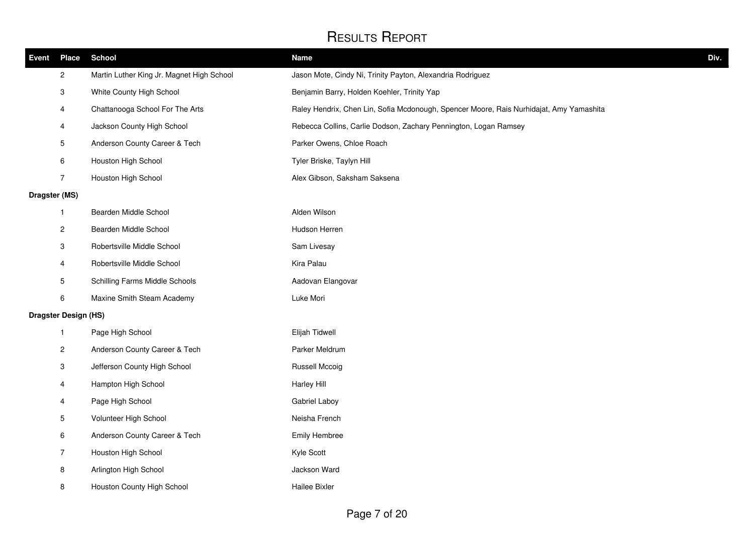| Event         | <b>Place</b>                | <b>School</b>                             | Name<br>Div.                                                                            |
|---------------|-----------------------------|-------------------------------------------|-----------------------------------------------------------------------------------------|
|               | $\overline{c}$              | Martin Luther King Jr. Magnet High School | Jason Mote, Cindy Ni, Trinity Payton, Alexandria Rodriguez                              |
|               | 3                           | White County High School                  | Benjamin Barry, Holden Koehler, Trinity Yap                                             |
|               | 4                           | Chattanooga School For The Arts           | Raley Hendrix, Chen Lin, Sofia Mcdonough, Spencer Moore, Rais Nurhidajat, Amy Yamashita |
|               | 4                           | Jackson County High School                | Rebecca Collins, Carlie Dodson, Zachary Pennington, Logan Ramsey                        |
|               | 5                           | Anderson County Career & Tech             | Parker Owens, Chloe Roach                                                               |
|               | 6                           | Houston High School                       | Tyler Briske, Taylyn Hill                                                               |
|               | $\overline{7}$              | Houston High School                       | Alex Gibson, Saksham Saksena                                                            |
| Dragster (MS) |                             |                                           |                                                                                         |
|               | $\mathbf{1}$                | Bearden Middle School                     | Alden Wilson                                                                            |
|               | $\boldsymbol{2}$            | Bearden Middle School                     | Hudson Herren                                                                           |
|               | 3                           | Robertsville Middle School                | Sam Livesay                                                                             |
|               | 4                           | Robertsville Middle School                | Kira Palau                                                                              |
|               | $5\phantom{.0}$             | Schilling Farms Middle Schools            | Aadovan Elangovar                                                                       |
|               | 6                           | Maxine Smith Steam Academy                | Luke Mori                                                                               |
|               | <b>Dragster Design (HS)</b> |                                           |                                                                                         |
|               | $\mathbf{1}$                | Page High School                          | Elijah Tidwell                                                                          |
|               | $\overline{c}$              | Anderson County Career & Tech             | Parker Meldrum                                                                          |
|               | 3                           | Jefferson County High School              | <b>Russell Mccoig</b>                                                                   |
|               | 4                           | Hampton High School                       | <b>Harley Hill</b>                                                                      |
|               | 4                           | Page High School                          | Gabriel Laboy                                                                           |
|               | 5                           | Volunteer High School                     | Neisha French                                                                           |
|               | 6                           | Anderson County Career & Tech             | <b>Emily Hembree</b>                                                                    |
|               | $\overline{7}$              | Houston High School                       | Kyle Scott                                                                              |
|               | 8                           | Arlington High School                     | Jackson Ward                                                                            |
|               | 8                           | Houston County High School                | Hailee Bixler                                                                           |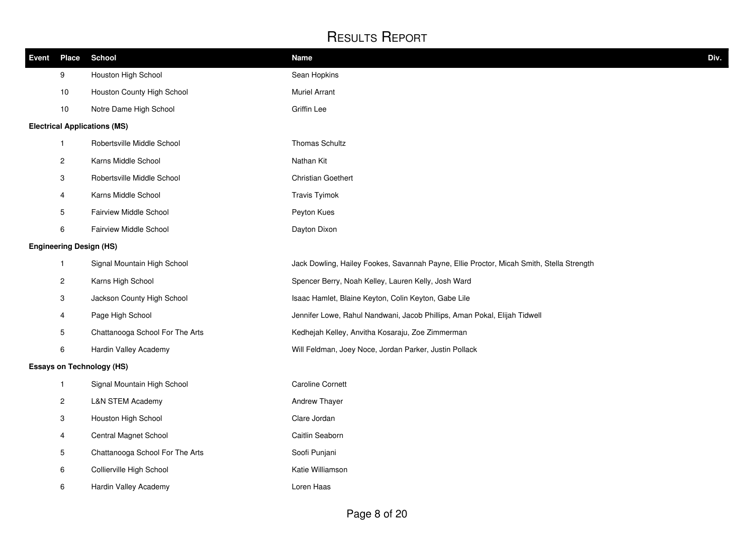| <b>Event</b> | <b>Place</b>              | <b>School</b>                       | <b>Name</b>                                                                              | Div. |
|--------------|---------------------------|-------------------------------------|------------------------------------------------------------------------------------------|------|
|              | 9                         | Houston High School                 | Sean Hopkins                                                                             |      |
|              | 10                        | Houston County High School          | <b>Muriel Arrant</b>                                                                     |      |
|              | 10                        | Notre Dame High School              | <b>Griffin Lee</b>                                                                       |      |
|              |                           | <b>Electrical Applications (MS)</b> |                                                                                          |      |
|              | $\mathbf{1}$              | Robertsville Middle School          | Thomas Schultz                                                                           |      |
|              | $\overline{c}$            | Karns Middle School                 | Nathan Kit                                                                               |      |
|              | $\ensuremath{\mathsf{3}}$ | Robertsville Middle School          | Christian Goethert                                                                       |      |
|              | 4                         | Karns Middle School                 | <b>Travis Tyimok</b>                                                                     |      |
|              | 5                         | Fairview Middle School              | Peyton Kues                                                                              |      |
|              | 6                         | Fairview Middle School              | Dayton Dixon                                                                             |      |
|              |                           | <b>Engineering Design (HS)</b>      |                                                                                          |      |
|              | $\mathbf{1}$              | Signal Mountain High School         | Jack Dowling, Hailey Fookes, Savannah Payne, Ellie Proctor, Micah Smith, Stella Strength |      |
|              | $\mathbf{2}$              | Karns High School                   | Spencer Berry, Noah Kelley, Lauren Kelly, Josh Ward                                      |      |
|              | $\mathbf{3}$              | Jackson County High School          | Isaac Hamlet, Blaine Keyton, Colin Keyton, Gabe Lile                                     |      |
|              | 4                         | Page High School                    | Jennifer Lowe, Rahul Nandwani, Jacob Phillips, Aman Pokal, Elijah Tidwell                |      |
|              | 5                         | Chattanooga School For The Arts     | Kedhejah Kelley, Anvitha Kosaraju, Zoe Zimmerman                                         |      |
|              | 6                         | Hardin Valley Academy               | Will Feldman, Joey Noce, Jordan Parker, Justin Pollack                                   |      |
|              |                           | <b>Essays on Technology (HS)</b>    |                                                                                          |      |
|              | $\mathbf{1}$              | Signal Mountain High School         | <b>Caroline Cornett</b>                                                                  |      |
|              | $\overline{c}$            | L&N STEM Academy                    | Andrew Thayer                                                                            |      |
|              | $\ensuremath{\mathsf{3}}$ | Houston High School                 | Clare Jordan                                                                             |      |
|              | 4                         | Central Magnet School               | Caitlin Seaborn                                                                          |      |
|              | 5                         | Chattanooga School For The Arts     | Soofi Punjani                                                                            |      |
|              | $\,6\,$                   | Collierville High School            | Katie Williamson                                                                         |      |
|              | 6                         | Hardin Valley Academy               | Loren Haas                                                                               |      |
|              |                           |                                     |                                                                                          |      |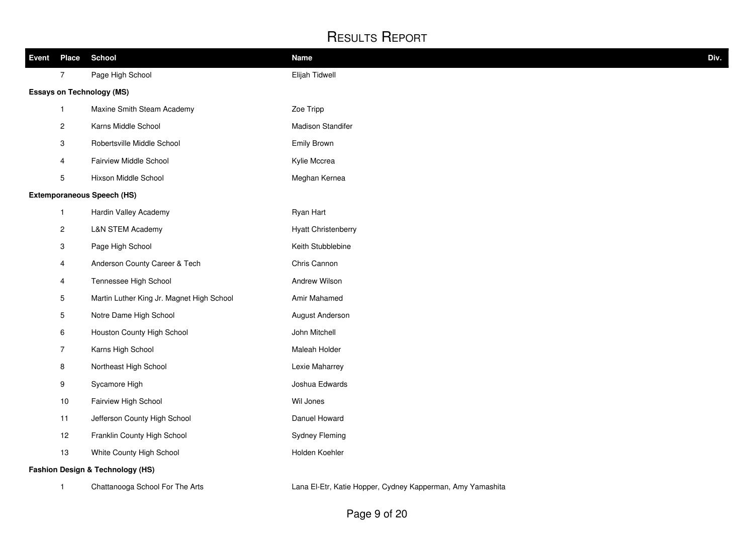| Event | <b>Place</b>            | <b>School</b>                               | <b>Name</b>                | Div. |
|-------|-------------------------|---------------------------------------------|----------------------------|------|
|       | $\overline{7}$          | Page High School                            | Elijah Tidwell             |      |
|       |                         | <b>Essays on Technology (MS)</b>            |                            |      |
|       | $\mathbf{1}$            | Maxine Smith Steam Academy                  | Zoe Tripp                  |      |
|       | $\overline{\mathbf{c}}$ | Karns Middle School                         | <b>Madison Standifer</b>   |      |
|       | 3                       | Robertsville Middle School                  | Emily Brown                |      |
|       | $\overline{4}$          | Fairview Middle School                      | Kylie Mccrea               |      |
|       | 5                       | Hixson Middle School                        | Meghan Kernea              |      |
|       |                         | <b>Extemporaneous Speech (HS)</b>           |                            |      |
|       | $\mathbf{1}$            | Hardin Valley Academy                       | Ryan Hart                  |      |
|       | $\overline{c}$          | <b>L&amp;N STEM Academy</b>                 | <b>Hyatt Christenberry</b> |      |
|       | 3                       | Page High School                            | Keith Stubblebine          |      |
|       | 4                       | Anderson County Career & Tech               | Chris Cannon               |      |
|       | 4                       | Tennessee High School                       | Andrew Wilson              |      |
|       | 5                       | Martin Luther King Jr. Magnet High School   | Amir Mahamed               |      |
|       | 5                       | Notre Dame High School                      | August Anderson            |      |
|       | 6                       | Houston County High School                  | John Mitchell              |      |
|       | $\overline{7}$          | Karns High School                           | Maleah Holder              |      |
|       | 8                       | Northeast High School                       | Lexie Maharrey             |      |
|       | 9                       | Sycamore High                               | Joshua Edwards             |      |
|       | 10                      | Fairview High School                        | Wil Jones                  |      |
|       | 11                      | Jefferson County High School                | Danuel Howard              |      |
|       | 12                      | Franklin County High School                 | <b>Sydney Fleming</b>      |      |
|       | 13                      | White County High School                    | Holden Koehler             |      |
|       |                         | <b>Fashion Design &amp; Technology (HS)</b> |                            |      |

1 Chattanooga School For The Arts **Lana El-Etr, Katie Hopper, Cydney Kapperman**, Amy Yamashita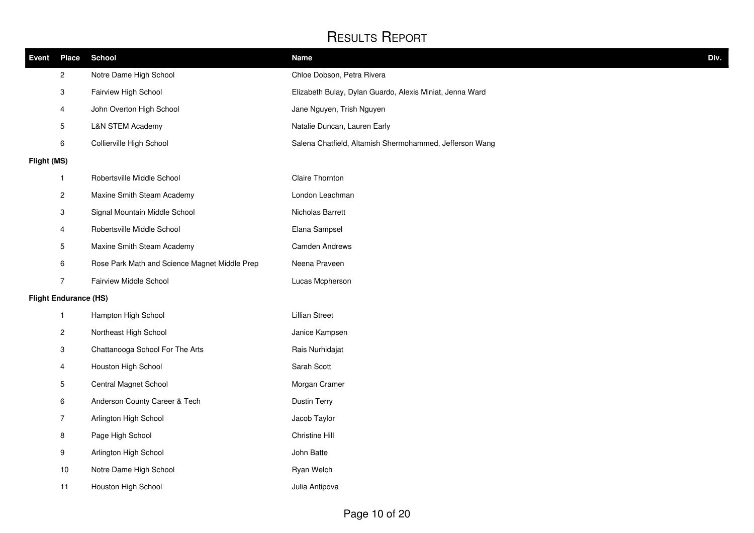| <b>Event</b> | <b>Place</b>                 | <b>School</b>                                 | <b>Name</b>                                              | Div. |
|--------------|------------------------------|-----------------------------------------------|----------------------------------------------------------|------|
|              | $\overline{c}$               | Notre Dame High School                        | Chloe Dobson, Petra Rivera                               |      |
|              | $\ensuremath{\mathsf{3}}$    | Fairview High School                          | Elizabeth Bulay, Dylan Guardo, Alexis Miniat, Jenna Ward |      |
|              | $\overline{4}$               | John Overton High School                      | Jane Nguyen, Trish Nguyen                                |      |
|              | $\mathbf 5$                  | <b>L&amp;N STEM Academy</b>                   | Natalie Duncan, Lauren Early                             |      |
|              | $\,6\,$                      | Collierville High School                      | Salena Chatfield, Altamish Shermohammed, Jefferson Wang  |      |
| Flight (MS)  |                              |                                               |                                                          |      |
|              | $\mathbf{1}$                 | Robertsville Middle School                    | Claire Thornton                                          |      |
|              | $\overline{c}$               | Maxine Smith Steam Academy                    | London Leachman                                          |      |
|              | $\mathbf{3}$                 | Signal Mountain Middle School                 | Nicholas Barrett                                         |      |
|              | $\overline{4}$               | Robertsville Middle School                    | Elana Sampsel                                            |      |
|              | $\mathbf 5$                  | Maxine Smith Steam Academy                    | <b>Camden Andrews</b>                                    |      |
|              | 6                            | Rose Park Math and Science Magnet Middle Prep | Neena Praveen                                            |      |
|              | $\overline{7}$               | Fairview Middle School                        | Lucas Mcpherson                                          |      |
|              | <b>Flight Endurance (HS)</b> |                                               |                                                          |      |
|              | $\mathbf{1}$                 | Hampton High School                           | <b>Lillian Street</b>                                    |      |
|              | $\overline{c}$               | Northeast High School                         | Janice Kampsen                                           |      |
|              | 3                            | Chattanooga School For The Arts               | Rais Nurhidajat                                          |      |
|              | $\overline{4}$               | Houston High School                           | Sarah Scott                                              |      |
|              | 5                            | Central Magnet School                         | Morgan Cramer                                            |      |
|              | 6                            | Anderson County Career & Tech                 | <b>Dustin Terry</b>                                      |      |
|              | $\overline{7}$               | Arlington High School                         | Jacob Taylor                                             |      |
|              | 8                            | Page High School                              | Christine Hill                                           |      |
|              | 9                            | Arlington High School                         | John Batte                                               |      |
|              | 10                           | Notre Dame High School                        | Ryan Welch                                               |      |
|              | 11                           | Houston High School                           | Julia Antipova                                           |      |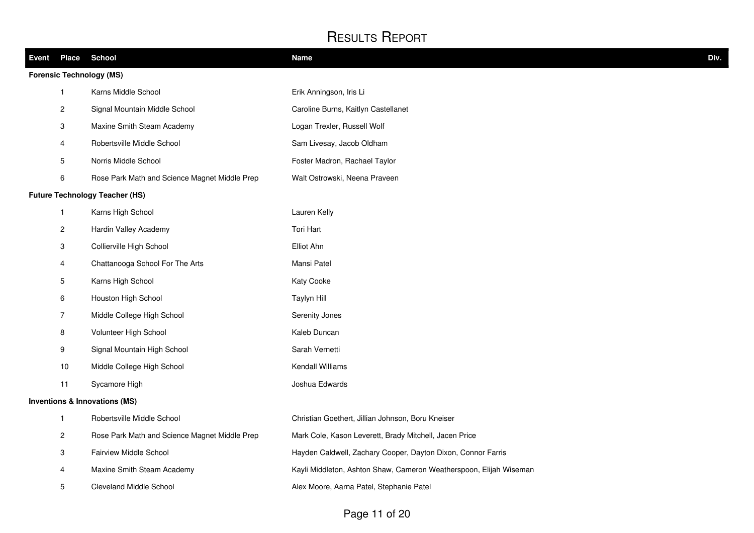|                         | Event Place School                            | <b>Name</b>                                                        | Div. |
|-------------------------|-----------------------------------------------|--------------------------------------------------------------------|------|
|                         | <b>Forensic Technology (MS)</b>               |                                                                    |      |
| $\mathbf{1}$            | Karns Middle School                           | Erik Anningson, Iris Li                                            |      |
| $\boldsymbol{2}$        | Signal Mountain Middle School                 | Caroline Burns, Kaitlyn Castellanet                                |      |
| 3                       | Maxine Smith Steam Academy                    | Logan Trexler, Russell Wolf                                        |      |
| 4                       | Robertsville Middle School                    | Sam Livesay, Jacob Oldham                                          |      |
| 5                       | Norris Middle School                          | Foster Madron, Rachael Taylor                                      |      |
| 6                       | Rose Park Math and Science Magnet Middle Prep | Walt Ostrowski, Neena Praveen                                      |      |
|                         | <b>Future Technology Teacher (HS)</b>         |                                                                    |      |
| $\mathbf{1}$            | Karns High School                             | Lauren Kelly                                                       |      |
| $\overline{c}$          | Hardin Valley Academy                         | Tori Hart                                                          |      |
| 3                       | Collierville High School                      | Elliot Ahn                                                         |      |
| $\overline{\mathbf{4}}$ | Chattanooga School For The Arts               | Mansi Patel                                                        |      |
| $5\phantom{.0}$         | Karns High School                             | Katy Cooke                                                         |      |
| 6                       | Houston High School                           | Taylyn Hill                                                        |      |
| $\overline{7}$          | Middle College High School                    | Serenity Jones                                                     |      |
| 8                       | Volunteer High School                         | Kaleb Duncan                                                       |      |
| 9                       | Signal Mountain High School                   | Sarah Vernetti                                                     |      |
| $10$                    | Middle College High School                    | Kendall Williams                                                   |      |
| 11                      | Sycamore High                                 | Joshua Edwards                                                     |      |
|                         | <b>Inventions &amp; Innovations (MS)</b>      |                                                                    |      |
| $\mathbf{1}$            | Robertsville Middle School                    | Christian Goethert, Jillian Johnson, Boru Kneiser                  |      |
| $\overline{c}$          | Rose Park Math and Science Magnet Middle Prep | Mark Cole, Kason Leverett, Brady Mitchell, Jacen Price             |      |
| 3                       | Fairview Middle School                        | Hayden Caldwell, Zachary Cooper, Dayton Dixon, Connor Farris       |      |
| 4                       | Maxine Smith Steam Academy                    | Kayli Middleton, Ashton Shaw, Cameron Weatherspoon, Elijah Wiseman |      |
| 5                       | <b>Cleveland Middle School</b>                | Alex Moore, Aarna Patel, Stephanie Patel                           |      |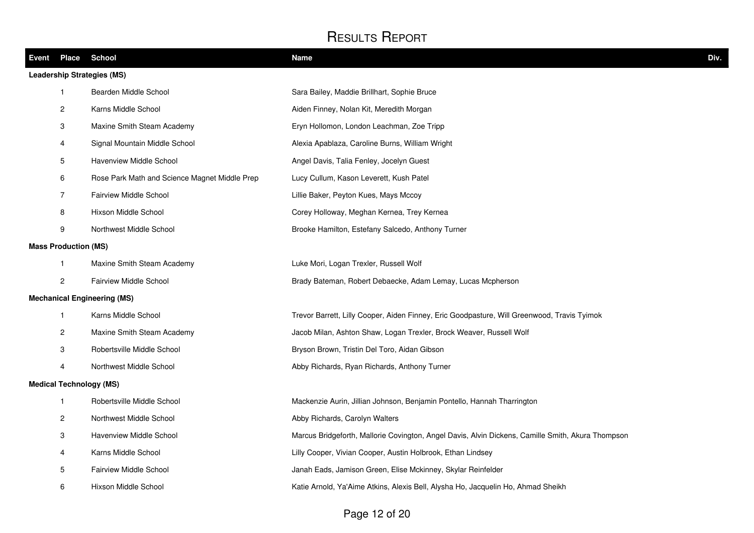| Event Place                 | <b>School</b>                                 | <b>Name</b>                                                                                       | Div. |
|-----------------------------|-----------------------------------------------|---------------------------------------------------------------------------------------------------|------|
|                             | <b>Leadership Strategies (MS)</b>             |                                                                                                   |      |
| $\mathbf{1}$                | Bearden Middle School                         | Sara Bailey, Maddie Brillhart, Sophie Bruce                                                       |      |
| $\overline{2}$              | Karns Middle School                           | Aiden Finney, Nolan Kit, Meredith Morgan                                                          |      |
| 3                           | Maxine Smith Steam Academy                    | Eryn Hollomon, London Leachman, Zoe Tripp                                                         |      |
| 4                           | Signal Mountain Middle School                 | Alexia Apablaza, Caroline Burns, William Wright                                                   |      |
| 5                           | Havenview Middle School                       | Angel Davis, Talia Fenley, Jocelyn Guest                                                          |      |
| $\,6\,$                     | Rose Park Math and Science Magnet Middle Prep | Lucy Cullum, Kason Leverett, Kush Patel                                                           |      |
| $\overline{7}$              | <b>Fairview Middle School</b>                 | Lillie Baker, Peyton Kues, Mays Mccoy                                                             |      |
| 8                           | Hixson Middle School                          | Corey Holloway, Meghan Kernea, Trey Kernea                                                        |      |
| 9                           | Northwest Middle School                       | Brooke Hamilton, Estefany Salcedo, Anthony Turner                                                 |      |
| <b>Mass Production (MS)</b> |                                               |                                                                                                   |      |
| $\mathbf{1}$                | Maxine Smith Steam Academy                    | Luke Mori, Logan Trexler, Russell Wolf                                                            |      |
| $\overline{2}$              | <b>Fairview Middle School</b>                 | Brady Bateman, Robert Debaecke, Adam Lemay, Lucas Mcpherson                                       |      |
|                             | <b>Mechanical Engineering (MS)</b>            |                                                                                                   |      |
| $\mathbf{1}$                | Karns Middle School                           | Trevor Barrett, Lilly Cooper, Aiden Finney, Eric Goodpasture, Will Greenwood, Travis Tyimok       |      |
| $\overline{c}$              | Maxine Smith Steam Academy                    | Jacob Milan, Ashton Shaw, Logan Trexler, Brock Weaver, Russell Wolf                               |      |
| 3                           | Robertsville Middle School                    | Bryson Brown, Tristin Del Toro, Aidan Gibson                                                      |      |
| 4                           | Northwest Middle School                       | Abby Richards, Ryan Richards, Anthony Turner                                                      |      |
|                             | <b>Medical Technology (MS)</b>                |                                                                                                   |      |
| $\mathbf{1}$                | Robertsville Middle School                    | Mackenzie Aurin, Jillian Johnson, Benjamin Pontello, Hannah Tharrington                           |      |
| $\overline{2}$              | Northwest Middle School                       | Abby Richards, Carolyn Walters                                                                    |      |
| $\mathbf{3}$                | Havenview Middle School                       | Marcus Bridgeforth, Mallorie Covington, Angel Davis, Alvin Dickens, Camille Smith, Akura Thompson |      |
| 4                           | Karns Middle School                           | Lilly Cooper, Vivian Cooper, Austin Holbrook, Ethan Lindsey                                       |      |
| 5                           | <b>Fairview Middle School</b>                 | Janah Eads, Jamison Green, Elise Mckinney, Skylar Reinfelder                                      |      |
| 6                           | Hixson Middle School                          | Katie Arnold, Ya'Aime Atkins, Alexis Bell, Alysha Ho, Jacquelin Ho, Ahmad Sheikh                  |      |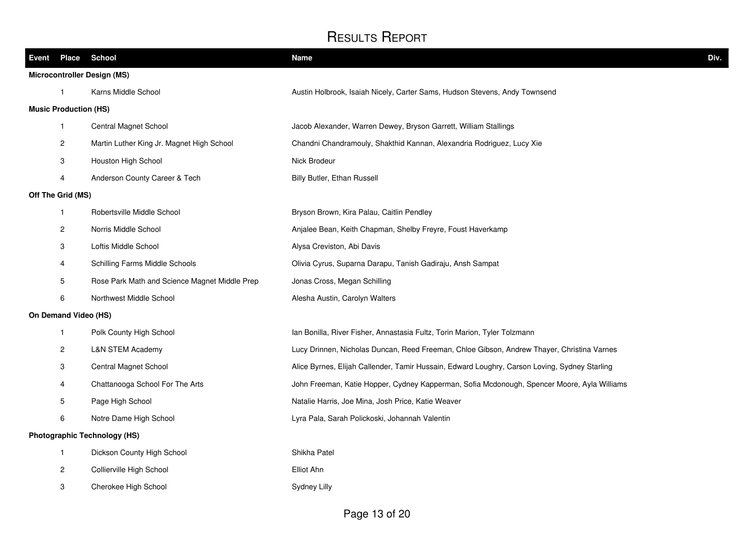| Event Place School                 |                                               | <b>Name</b>                                                                                   | Div. |  |
|------------------------------------|-----------------------------------------------|-----------------------------------------------------------------------------------------------|------|--|
| <b>Microcontroller Design (MS)</b> |                                               |                                                                                               |      |  |
| 1                                  | Karns Middle School                           | Austin Holbrook, Isaiah Nicely, Carter Sams, Hudson Stevens, Andy Townsend                    |      |  |
| <b>Music Production (HS)</b>       |                                               |                                                                                               |      |  |
| $\mathbf{1}$                       | Central Magnet School                         | Jacob Alexander, Warren Dewey, Bryson Garrett, William Stallings                              |      |  |
| 2                                  | Martin Luther King Jr. Magnet High School     | Chandni Chandramouly, Shakthid Kannan, Alexandria Rodriguez, Lucy Xie                         |      |  |
| 3                                  | Houston High School                           | Nick Brodeur                                                                                  |      |  |
| 4                                  | Anderson County Career & Tech                 | Billy Butler, Ethan Russell                                                                   |      |  |
| Off The Grid (MS)                  |                                               |                                                                                               |      |  |
| $\mathbf{1}$                       | Robertsville Middle School                    | Bryson Brown, Kira Palau, Caitlin Pendley                                                     |      |  |
| 2                                  | Norris Middle School                          | Anjalee Bean, Keith Chapman, Shelby Freyre, Foust Haverkamp                                   |      |  |
| 3                                  | Loftis Middle School                          | Alysa Creviston, Abi Davis                                                                    |      |  |
| 4                                  | Schilling Farms Middle Schools                | Olivia Cyrus, Suparna Darapu, Tanish Gadiraju, Ansh Sampat                                    |      |  |
| 5                                  | Rose Park Math and Science Magnet Middle Prep | Jonas Cross, Megan Schilling                                                                  |      |  |
| 6                                  | Northwest Middle School                       | Alesha Austin, Carolyn Walters                                                                |      |  |
| On Demand Video (HS)               |                                               |                                                                                               |      |  |
| 1                                  | Polk County High School                       | Ian Bonilla, River Fisher, Annastasia Fultz, Torin Marion, Tyler Tolzmann                     |      |  |
| 2                                  | <b>L&amp;N STEM Academy</b>                   | Lucy Drinnen, Nicholas Duncan, Reed Freeman, Chloe Gibson, Andrew Thayer, Christina Varnes    |      |  |
| 3                                  | Central Magnet School                         | Alice Byrnes, Elijah Callender, Tamir Hussain, Edward Loughry, Carson Loving, Sydney Starling |      |  |
| 4                                  | Chattanooga School For The Arts               | John Freeman, Katie Hopper, Cydney Kapperman, Sofia Mcdonough, Spencer Moore, Ayla Williams   |      |  |
| 5                                  | Page High School                              | Natalie Harris, Joe Mina, Josh Price, Katie Weaver                                            |      |  |
| 6                                  | Notre Dame High School                        | Lyra Pala, Sarah Polickoski, Johannah Valentin                                                |      |  |
|                                    | <b>Photographic Technology (HS)</b>           |                                                                                               |      |  |
| $\mathbf{1}$                       | Dickson County High School                    | Shikha Patel                                                                                  |      |  |
| 2                                  | Collierville High School                      | Elliot Ahn                                                                                    |      |  |
| 3                                  | Cherokee High School                          | Sydney Lilly                                                                                  |      |  |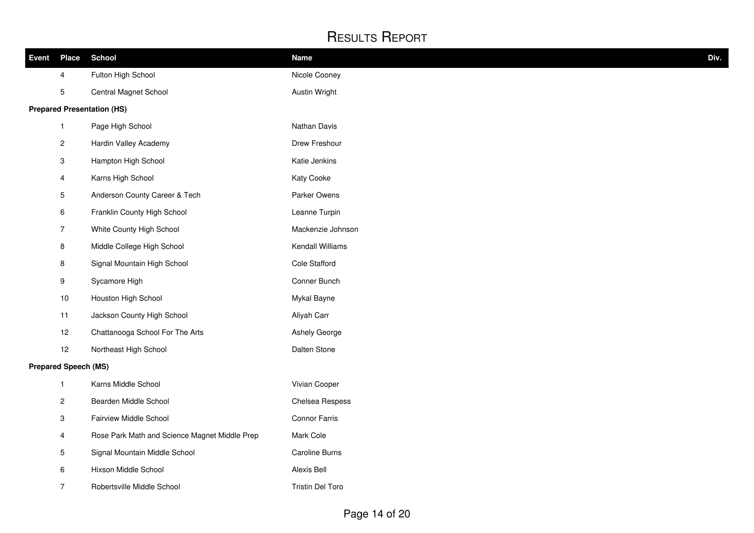| <b>Event Place</b>          |                           | <b>School</b>                                 | <b>Name</b>           | Div. |
|-----------------------------|---------------------------|-----------------------------------------------|-----------------------|------|
|                             | 4                         | Fulton High School                            | Nicole Cooney         |      |
|                             | $\overline{5}$            | Central Magnet School                         | Austin Wright         |      |
|                             |                           | <b>Prepared Presentation (HS)</b>             |                       |      |
|                             | $\mathbf{1}$              | Page High School                              | Nathan Davis          |      |
|                             | $\overline{c}$            | Hardin Valley Academy                         | Drew Freshour         |      |
|                             | $\mathbf{3}$              | Hampton High School                           | Katie Jenkins         |      |
|                             | $\overline{4}$            | Karns High School                             | Katy Cooke            |      |
|                             | 5                         | Anderson County Career & Tech                 | Parker Owens          |      |
|                             | 6                         | Franklin County High School                   | Leanne Turpin         |      |
|                             | $\overline{7}$            | White County High School                      | Mackenzie Johnson     |      |
|                             | $\bf 8$                   | Middle College High School                    | Kendall Williams      |      |
|                             | $\,8\,$                   | Signal Mountain High School                   | Cole Stafford         |      |
|                             | 9                         | Sycamore High                                 | Conner Bunch          |      |
|                             | $10$                      | Houston High School                           | Mykal Bayne           |      |
|                             | 11                        | Jackson County High School                    | Aliyah Carr           |      |
|                             | 12                        | Chattanooga School For The Arts               | Ashely George         |      |
|                             | 12                        | Northeast High School                         | Dalten Stone          |      |
| <b>Prepared Speech (MS)</b> |                           |                                               |                       |      |
|                             | $\mathbf{1}$              | Karns Middle School                           | Vivian Cooper         |      |
|                             | $\overline{c}$            | Bearden Middle School                         | Chelsea Respess       |      |
|                             | $\ensuremath{\mathsf{3}}$ | Fairview Middle School                        | <b>Connor Farris</b>  |      |
|                             | 4                         | Rose Park Math and Science Magnet Middle Prep | Mark Cole             |      |
|                             | 5                         | Signal Mountain Middle School                 | <b>Caroline Burns</b> |      |
|                             | 6                         | Hixson Middle School                          | Alexis Bell           |      |
|                             | $\overline{7}$            | Robertsville Middle School                    | Tristin Del Toro      |      |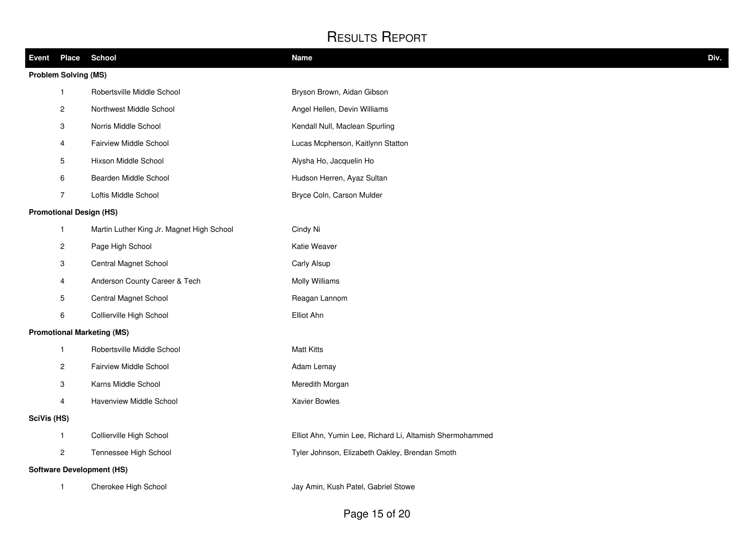| Event       | <b>Place</b>                | School                                    | <b>Name</b>                                              | Div. |  |  |
|-------------|-----------------------------|-------------------------------------------|----------------------------------------------------------|------|--|--|
|             | <b>Problem Solving (MS)</b> |                                           |                                                          |      |  |  |
|             | $\mathbf{1}$                | Robertsville Middle School                | Bryson Brown, Aidan Gibson                               |      |  |  |
|             | $\overline{c}$              | Northwest Middle School                   | Angel Hellen, Devin Williams                             |      |  |  |
|             | 3                           | Norris Middle School                      | Kendall Null, Maclean Spurling                           |      |  |  |
|             | 4                           | Fairview Middle School                    | Lucas Mcpherson, Kaitlynn Statton                        |      |  |  |
|             | 5                           | Hixson Middle School                      | Alysha Ho, Jacquelin Ho                                  |      |  |  |
|             | 6                           | Bearden Middle School                     | Hudson Herren, Ayaz Sultan                               |      |  |  |
|             | $\overline{7}$              | Loftis Middle School                      | Bryce Coln, Carson Mulder                                |      |  |  |
|             |                             | <b>Promotional Design (HS)</b>            |                                                          |      |  |  |
|             | $\mathbf{1}$                | Martin Luther King Jr. Magnet High School | Cindy Ni                                                 |      |  |  |
|             | $\overline{c}$              | Page High School                          | Katie Weaver                                             |      |  |  |
|             | 3                           | Central Magnet School                     | Carly Alsup                                              |      |  |  |
|             | 4                           | Anderson County Career & Tech             | Molly Williams                                           |      |  |  |
|             | 5                           | Central Magnet School                     | Reagan Lannom                                            |      |  |  |
|             | 6                           | Collierville High School                  | Elliot Ahn                                               |      |  |  |
|             |                             | <b>Promotional Marketing (MS)</b>         |                                                          |      |  |  |
|             | $\mathbf{1}$                | Robertsville Middle School                | <b>Matt Kitts</b>                                        |      |  |  |
|             | $\overline{c}$              | Fairview Middle School                    | Adam Lemay                                               |      |  |  |
|             | $\ensuremath{\mathsf{3}}$   | Karns Middle School                       | Meredith Morgan                                          |      |  |  |
|             | $\overline{4}$              | Havenview Middle School                   | <b>Xavier Bowles</b>                                     |      |  |  |
| SciVis (HS) |                             |                                           |                                                          |      |  |  |
|             | $\mathbf{1}$                | Collierville High School                  | Elliot Ahn, Yumin Lee, Richard Li, Altamish Shermohammed |      |  |  |
|             | $\mathbf{2}$                | Tennessee High School                     | Tyler Johnson, Elizabeth Oakley, Brendan Smoth           |      |  |  |
|             |                             | <b>Software Development (HS)</b>          |                                                          |      |  |  |
|             | $\mathbf{1}$                | Cherokee High School                      | Jay Amin, Kush Patel, Gabriel Stowe                      |      |  |  |
|             |                             |                                           |                                                          |      |  |  |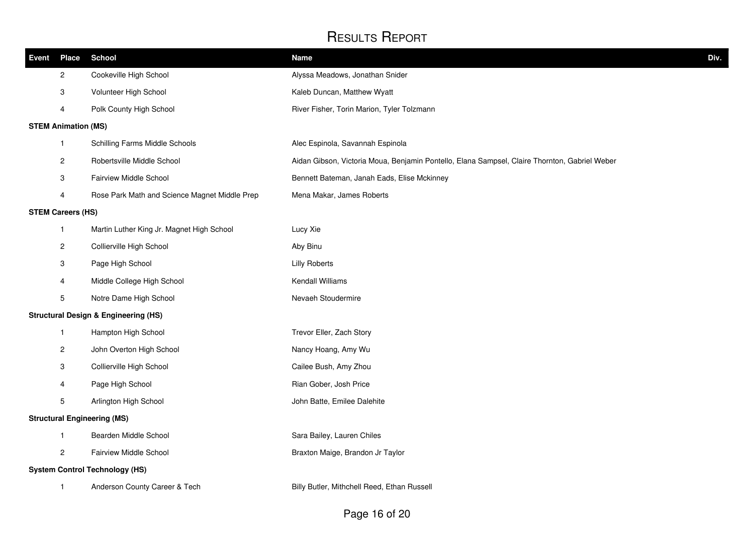| Event | <b>Place</b>               | <b>School</b>                                   | <b>Name</b>                                                                                   | Div. |
|-------|----------------------------|-------------------------------------------------|-----------------------------------------------------------------------------------------------|------|
|       | $\overline{c}$             | Cookeville High School                          | Alyssa Meadows, Jonathan Snider                                                               |      |
|       | 3                          | Volunteer High School                           | Kaleb Duncan, Matthew Wyatt                                                                   |      |
|       | 4                          | Polk County High School                         | River Fisher, Torin Marion, Tyler Tolzmann                                                    |      |
|       | <b>STEM Animation (MS)</b> |                                                 |                                                                                               |      |
|       | $\mathbf{1}$               | Schilling Farms Middle Schools                  | Alec Espinola, Savannah Espinola                                                              |      |
|       | 2                          | Robertsville Middle School                      | Aidan Gibson, Victoria Moua, Benjamin Pontello, Elana Sampsel, Claire Thornton, Gabriel Weber |      |
|       | 3                          | Fairview Middle School                          | Bennett Bateman, Janah Eads, Elise Mckinney                                                   |      |
|       | 4                          | Rose Park Math and Science Magnet Middle Prep   | Mena Makar, James Roberts                                                                     |      |
|       | <b>STEM Careers (HS)</b>   |                                                 |                                                                                               |      |
|       | $\mathbf{1}$               | Martin Luther King Jr. Magnet High School       | Lucy Xie                                                                                      |      |
|       | $\overline{\mathbf{c}}$    | Collierville High School                        | Aby Binu                                                                                      |      |
|       | 3                          | Page High School                                | <b>Lilly Roberts</b>                                                                          |      |
|       | 4                          | Middle College High School                      | Kendall Williams                                                                              |      |
|       | 5                          | Notre Dame High School                          | Nevaeh Stoudermire                                                                            |      |
|       |                            | <b>Structural Design &amp; Engineering (HS)</b> |                                                                                               |      |
|       | $\mathbf{1}$               | Hampton High School                             | Trevor Eller, Zach Story                                                                      |      |
|       | $\overline{\mathbf{c}}$    | John Overton High School                        | Nancy Hoang, Amy Wu                                                                           |      |
|       | 3                          | Collierville High School                        | Cailee Bush, Amy Zhou                                                                         |      |
|       | 4                          | Page High School                                | Rian Gober, Josh Price                                                                        |      |
|       | 5                          | Arlington High School                           | John Batte, Emilee Dalehite                                                                   |      |
|       |                            | <b>Structural Engineering (MS)</b>              |                                                                                               |      |
|       | $\mathbf{1}$               | Bearden Middle School                           | Sara Bailey, Lauren Chiles                                                                    |      |
|       | 2                          | <b>Fairview Middle School</b>                   | Braxton Maige, Brandon Jr Taylor                                                              |      |
|       |                            | <b>System Control Technology (HS)</b>           |                                                                                               |      |
|       | 1                          | Anderson County Career & Tech                   | Billy Butler, Mithchell Reed, Ethan Russell                                                   |      |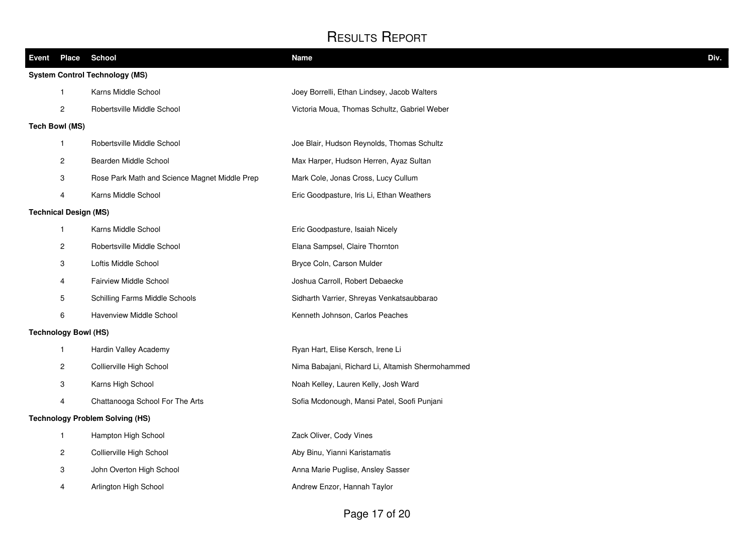| Event Place                           | <b>School</b>                                 | <b>Name</b>                                      | Div. |  |
|---------------------------------------|-----------------------------------------------|--------------------------------------------------|------|--|
| <b>System Control Technology (MS)</b> |                                               |                                                  |      |  |
| $\mathbf{1}$                          | Karns Middle School                           | Joey Borrelli, Ethan Lindsey, Jacob Walters      |      |  |
| 2                                     | Robertsville Middle School                    | Victoria Moua, Thomas Schultz, Gabriel Weber     |      |  |
| <b>Tech Bowl (MS)</b>                 |                                               |                                                  |      |  |
| $\mathbf{1}$                          | Robertsville Middle School                    | Joe Blair, Hudson Reynolds, Thomas Schultz       |      |  |
| 2                                     | Bearden Middle School                         | Max Harper, Hudson Herren, Ayaz Sultan           |      |  |
| 3                                     | Rose Park Math and Science Magnet Middle Prep | Mark Cole, Jonas Cross, Lucy Cullum              |      |  |
| 4                                     | Karns Middle School                           | Eric Goodpasture, Iris Li, Ethan Weathers        |      |  |
| <b>Technical Design (MS)</b>          |                                               |                                                  |      |  |
| $\mathbf{1}$                          | Karns Middle School                           | Eric Goodpasture, Isaiah Nicely                  |      |  |
| $\overline{c}$                        | Robertsville Middle School                    | Elana Sampsel, Claire Thornton                   |      |  |
| 3                                     | Loftis Middle School                          | Bryce Coln, Carson Mulder                        |      |  |
| $\overline{4}$                        | Fairview Middle School                        | Joshua Carroll, Robert Debaecke                  |      |  |
| 5                                     | Schilling Farms Middle Schools                | Sidharth Varrier, Shreyas Venkatsaubbarao        |      |  |
| 6                                     | Havenview Middle School                       | Kenneth Johnson, Carlos Peaches                  |      |  |
| <b>Technology Bowl (HS)</b>           |                                               |                                                  |      |  |
| $\mathbf{1}$                          | Hardin Valley Academy                         | Ryan Hart, Elise Kersch, Irene Li                |      |  |
| $\overline{c}$                        | Collierville High School                      | Nima Babajani, Richard Li, Altamish Shermohammed |      |  |
| 3                                     | Karns High School                             | Noah Kelley, Lauren Kelly, Josh Ward             |      |  |
| 4                                     | Chattanooga School For The Arts               | Sofia Mcdonough, Mansi Patel, Soofi Punjani      |      |  |
|                                       | <b>Technology Problem Solving (HS)</b>        |                                                  |      |  |
| $\mathbf{1}$                          | Hampton High School                           | Zack Oliver, Cody Vines                          |      |  |
| 2                                     | Collierville High School                      | Aby Binu, Yianni Karistamatis                    |      |  |
| 3                                     | John Overton High School                      | Anna Marie Puglise, Ansley Sasser                |      |  |
| 4                                     | Arlington High School                         | Andrew Enzor, Hannah Taylor                      |      |  |
|                                       |                                               |                                                  |      |  |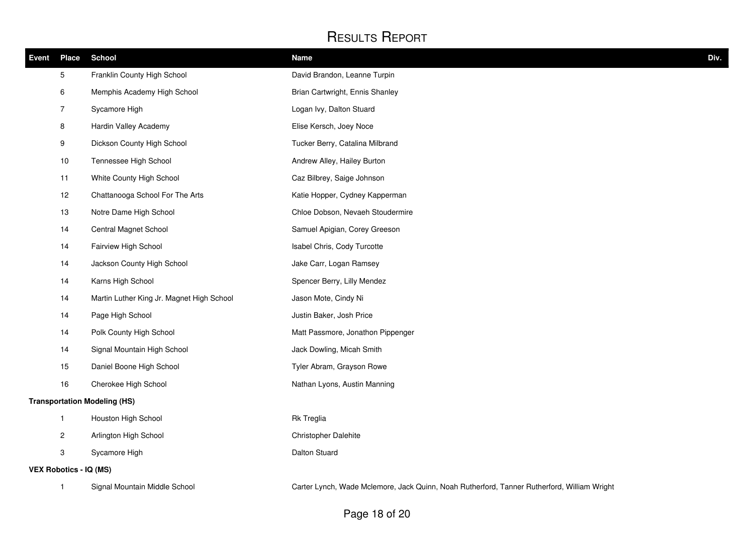| <b>Event</b>                        | <b>Place</b>                  | <b>School</b>                             | <b>Name</b>                                                                                 | Div. |
|-------------------------------------|-------------------------------|-------------------------------------------|---------------------------------------------------------------------------------------------|------|
|                                     | 5                             | Franklin County High School               | David Brandon, Leanne Turpin                                                                |      |
|                                     | 6                             | Memphis Academy High School               | Brian Cartwright, Ennis Shanley                                                             |      |
|                                     | $\overline{7}$                | Sycamore High                             | Logan Ivy, Dalton Stuard                                                                    |      |
|                                     | 8                             | Hardin Valley Academy                     | Elise Kersch, Joey Noce                                                                     |      |
|                                     | 9                             | Dickson County High School                | Tucker Berry, Catalina Milbrand                                                             |      |
|                                     | 10                            | Tennessee High School                     | Andrew Alley, Hailey Burton                                                                 |      |
|                                     | 11                            | White County High School                  | Caz Bilbrey, Saige Johnson                                                                  |      |
|                                     | 12                            | Chattanooga School For The Arts           | Katie Hopper, Cydney Kapperman                                                              |      |
|                                     | 13                            | Notre Dame High School                    | Chloe Dobson, Nevaeh Stoudermire                                                            |      |
|                                     | 14                            | Central Magnet School                     | Samuel Apigian, Corey Greeson                                                               |      |
|                                     | 14                            | Fairview High School                      | Isabel Chris, Cody Turcotte                                                                 |      |
|                                     | 14                            | Jackson County High School                | Jake Carr, Logan Ramsey                                                                     |      |
|                                     | 14                            | Karns High School                         | Spencer Berry, Lilly Mendez                                                                 |      |
|                                     | 14                            | Martin Luther King Jr. Magnet High School | Jason Mote, Cindy Ni                                                                        |      |
|                                     | 14                            | Page High School                          | Justin Baker, Josh Price                                                                    |      |
|                                     | 14                            | Polk County High School                   | Matt Passmore, Jonathon Pippenger                                                           |      |
|                                     | 14                            | Signal Mountain High School               | Jack Dowling, Micah Smith                                                                   |      |
|                                     | 15                            | Daniel Boone High School                  | Tyler Abram, Grayson Rowe                                                                   |      |
|                                     | 16                            | Cherokee High School                      | Nathan Lyons, Austin Manning                                                                |      |
| <b>Transportation Modeling (HS)</b> |                               |                                           |                                                                                             |      |
|                                     | $\mathbf{1}$                  | Houston High School                       | <b>Rk Treglia</b>                                                                           |      |
|                                     | $\overline{c}$                | Arlington High School                     | Christopher Dalehite                                                                        |      |
|                                     | 3                             | Sycamore High                             | Dalton Stuard                                                                               |      |
|                                     | <b>VEX Robotics - IQ (MS)</b> |                                           |                                                                                             |      |
|                                     | $\mathbf{1}$                  | Signal Mountain Middle School             | Carter Lynch, Wade Mclemore, Jack Quinn, Noah Rutherford, Tanner Rutherford, William Wright |      |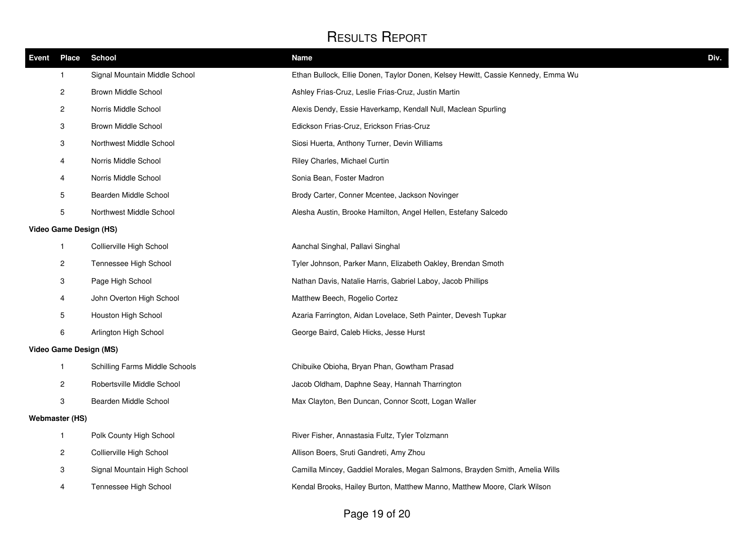| <b>Event</b> | <b>Place</b>            | <b>School</b>                  | Div.<br><b>Name</b>                                                              |  |
|--------------|-------------------------|--------------------------------|----------------------------------------------------------------------------------|--|
|              | $\mathbf{1}$            | Signal Mountain Middle School  | Ethan Bullock, Ellie Donen, Taylor Donen, Kelsey Hewitt, Cassie Kennedy, Emma Wu |  |
|              | 2                       | Brown Middle School            | Ashley Frias-Cruz, Leslie Frias-Cruz, Justin Martin                              |  |
|              | $\overline{\mathbf{c}}$ | Norris Middle School           | Alexis Dendy, Essie Haverkamp, Kendall Null, Maclean Spurling                    |  |
|              | 3                       | Brown Middle School            | Edickson Frias-Cruz, Erickson Frias-Cruz                                         |  |
|              | 3                       | Northwest Middle School        | Siosi Huerta, Anthony Turner, Devin Williams                                     |  |
|              | 4                       | Norris Middle School           | Riley Charles, Michael Curtin                                                    |  |
|              | 4                       | Norris Middle School           | Sonia Bean, Foster Madron                                                        |  |
|              | 5                       | Bearden Middle School          | Brody Carter, Conner Mcentee, Jackson Novinger                                   |  |
|              | 5                       | Northwest Middle School        | Alesha Austin, Brooke Hamilton, Angel Hellen, Estefany Salcedo                   |  |
|              | Video Game Design (HS)  |                                |                                                                                  |  |
|              | $\mathbf{1}$            | Collierville High School       | Aanchal Singhal, Pallavi Singhal                                                 |  |
|              | $\overline{c}$          | Tennessee High School          | Tyler Johnson, Parker Mann, Elizabeth Oakley, Brendan Smoth                      |  |
|              | 3                       | Page High School               | Nathan Davis, Natalie Harris, Gabriel Laboy, Jacob Phillips                      |  |
|              | 4                       | John Overton High School       | Matthew Beech, Rogelio Cortez                                                    |  |
|              | 5                       | Houston High School            | Azaria Farrington, Aidan Lovelace, Seth Painter, Devesh Tupkar                   |  |
|              | 6                       | Arlington High School          | George Baird, Caleb Hicks, Jesse Hurst                                           |  |
|              |                         | Video Game Design (MS)         |                                                                                  |  |
|              | $\mathbf{1}$            | Schilling Farms Middle Schools | Chibuike Obioha, Bryan Phan, Gowtham Prasad                                      |  |
|              | 2                       | Robertsville Middle School     | Jacob Oldham, Daphne Seay, Hannah Tharrington                                    |  |
|              | 3                       | Bearden Middle School          | Max Clayton, Ben Duncan, Connor Scott, Logan Waller                              |  |
|              | <b>Webmaster (HS)</b>   |                                |                                                                                  |  |
|              | $\mathbf{1}$            | Polk County High School        | River Fisher, Annastasia Fultz, Tyler Tolzmann                                   |  |
|              | 2                       | Collierville High School       | Allison Boers, Sruti Gandreti, Amy Zhou                                          |  |
|              | 3                       | Signal Mountain High School    | Camilla Mincey, Gaddiel Morales, Megan Salmons, Brayden Smith, Amelia Wills      |  |
|              | 4                       | Tennessee High School          | Kendal Brooks, Hailey Burton, Matthew Manno, Matthew Moore, Clark Wilson         |  |
|              |                         |                                |                                                                                  |  |